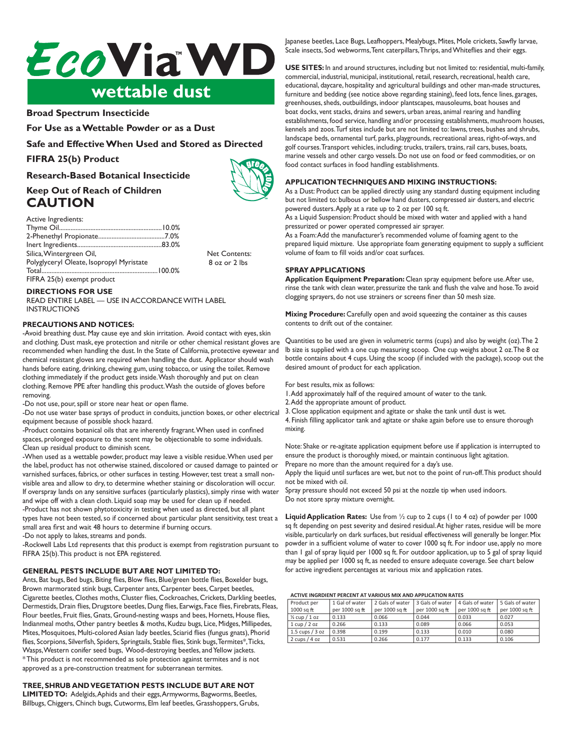

# **Broad Spectrum Insecticide**

For Use as a Wettable Powder or as a Dust

Safe and Effective When Used and Stored as Directed

### **FIFRA 25(b) Product**

**FIFRA 25(b) Product**

Descende Desail Detenies Unes aties **Research-Based Botanical Insecticide** 

#### **Keep Out of Reach of Children** Silica, Wintergreen Oil, 2014 Polyglyceryl Oleate, Isopropyl Myristate **CAUTION**

Total......................................................................100.0% Active Ingredients:

| Silica, Wintergreen Oil,                 | <b>Net Contents:</b> |  |
|------------------------------------------|----------------------|--|
| Polyglyceryl Oleate, Isopropyl Myristate | 8 oz or 2 lbs        |  |
|                                          |                      |  |
| FIFRA 25(b) exempt product               |                      |  |

### **DIRECTIONS FOR USE**

DIRECTIONS FOR USE<br>Particularly when handling the dust. In the State of Director gloves is required. Applicator should wash hands before eating, drinking, chewing INSTRUCTIONS READ ENTIRE LABEL — USE IN ACCORDANCE WITH LABEL<br>WATER RESISTING RESIST

### **PRECAUTIONS AND NOTICES:**

recommended when handling the dust. In the State of California, protective eyewear and chemical resistant gloves are required when handling the dust. Applicator should wash hands before eating, drinking, chewing gum, using tobacco, or using the toilet. Remove clothing. Remove PPE after handling this product. Wash the outside of gloves before  $\epsilon$  moving, as a wettable powder, product may leave a visible residue. When  $\epsilon$ gets inside thousand instituted.<br>And put on clothing and put on clothing. Remove PPE after handling. Remove PPE after handling. Remove PPE after -Avoid breathing dust. May cause eye and skin irritation. Avoid contact with eyes, skin and clothing. Dust mask, eye protection and nitrile or other chemical resistant gloves are clothing immediately if the product gets inside. Wash thoroughly and put on clean the outside of the outside of the outside of the gloves before removing.

-Do not use, pour, spill or store near heat or open flame.

-Do not use water base sprays of product in conduits, junction boxes, or other electrical equipment because of possible shock hazard.

-Product contains botanical oils that are inherently fragrant. When used in confined spaces, prolonged exposure to the scent may be objectionable to some individuals. cloth. Liquid soap may be used for clean up if needed. Clean up residual product to diminish scent. some individuals. Clean up residual product to diminish scent.

-Volan up residual process to amminen section.<br>-When used as a wettable powder, product may leave a visible residue. When used per the label, product has not otherwise stained, discolored or caused damage to painted or varinshed surfaces, fabrics, or other surfaces in testing. Frowever, test treat a small non-<br>visible area and allow to dry, to determine whether staining or discoloration will occur. If overspray lands on any sensitive surfaces (particularly plastics), simply rinse with water in overspray ianus on any sensitive surfaces (particularly plastics), simply rinse with war<br>and wipe off with a clean cloth. Liquid soap may be used for clean up if needed. varnished surfaces, fabrics, or other surfaces in testing. However, test treat a small non-damage to painted or varnished surfaces, fabrics, or other surfaces in testing. where  $\alpha$  and anyw to differentially will occur analyze the station  $\beta$  or discoloration will occur nd wipe on with a clean cloth. Liquid soap may be used it

and the FIFRA and the Testin and the FIFRA registered. The Testing when used as directed, but all plant Product has not shown phytotoxicity in testing when used as directed, but all plant **GENERAL PESTS INCLUDE BUT ARE NOT LIMITED TO:**  small area first and wait 48 hours to determine if burning occurs. types have not been tested, so if concerned about particular plant sensitivity, test treat a test of the solution of the solution of the sensitivity of the solution of the solution of the sensitivity, test treat a

-Do not apply to lakes, streams and ponds.

-Bo not apply to lakes, streams and ponds.<br>-Rockwell Labs Ltd represents that this product is exempt from registration pursuant to FIFRA 25(b).This product is not EPA registered.

## **GENERAL PESTS INCLUDE BUT ARE NOT LIMITED TO:**

Dermestids, Drain flies, Drugstore beetles, Dung flies, Earwigs, Face flies, Firebrats, Fleas, Flour beetles, Fruit flies, Gnats, Ground-nesting wasps and bees, Hornets, House flies, Indianmeal moths, Other pantry beetles & moths, Kudzu bugs, Lice, Midges, Millipedes, **TREE, SHRUB ANDVEGETATION PESTS INCLUDE BUT ARE** flies, Scorpions, Silverfish, Spiders, Springtails, Stable flies, Stink bugs, Termites\*, Ticks, Wasps,Western conifer seed bugs, Wood-destroying beetles, and Yellow jackets. Ants, Bat bugs, Bed bugs, Biting flies, Blow flies, Blue/green bottle flies, Boxelder bugs, **GENERAL PESTS INCLUDE BUT ARE NOT LIMITED TO:**  Brown marmorated stink bugs, Carpenter ants, Carpenter bees, Carpet beetles, Cigarette beetles, Clothes moths, Cluster flies, Cockroaches, Crickets, Darkling beetles, Mites, Mosquitoes, Multi-colored Asian lady beetles, Sciarid flies (fungus gnats), Phorid \* This product is not recommended as sole protection against termites and is not approved as a pre-construction treatment for subterranean termites.  $\mathcal{F}$  this product is not recommended as sole product terminals as sole protection against terminals and is not

### **TREE, SHRUB AND VEGETATION PESTS INCLUDE BUT ARE NOT**

**LIMITED TO:** Adelgids, Aphids and their eggs, Armyworms, Bagworms, Beetles, **Billbugs, Chiggers, Chinch bugs, Cutworms, Elm leaf beetles, Grasshoppers, Grubs,** Addis and the internal englishment and their equipments, Belles, Belles, Belles, Beetles, Beetles, Beetles, Be

multi-family, commercial, industrial, municipal, institutional,retail,research, Japanese beetles, Lace Bugs, Leafhoppers, Mealybugs, Mites, Mole crickets, Sawfly larvae,<br>Charles Carlin II Scale insects, Sod webworms, Tent caterpillars, Thrips, and Whiteflies and their eggs.

above regarding staining), feed lots, fence lines, garages, greenhouses, sheds, **USE SITES:** In and around structures, including but not limited to: residential, multi-family, commercial, industrial, municipal, institutional, retail, research, recreational, health care, educational, daycare, hospitality and agricultural buildings and other man-made structures, furniture and bedding (see notice above regarding staining), feed lots, fence lines, garages, greenhouses, sheds, outbuildings, indoor plantscapes, mausoleums, boat houses and boat docks, vent stacks, drains and sewers, urban areas, animal rearing and handling establishments, food service, handling and/or processing establishments, mushroom houses, kennels and zoos. Turf sites include but are not limited to: lawns, trees, bushes and shrubs, landscape beds, ornamental turf, parks, playgrounds, recreational areas, right-of-ways, and marine vessels and other cargo vessels. Do not use on food or feed commodities, or on As and sheets any state angle catched any standard dusting exception of the contact surfaces in food handling establishments. golf courses. Transport vehicles, including: trucks, trailers, trains, rail cars, buses, boats, are contract of including courses.Transport vehicles, trailers, trailers, trailers, trailers, trailers, trailers, trailers, trailers, trailers, trailers, trailers, trailers, trailers, trailers, trailers, trailers, trailers

### **APPLICATION TECHNIQUES AND MIXING INSTRUCTIONS:**

As a Dust: Product can be applied directly using any standard dusting equipment including ous a Buse. I Toddet can be applied differently dairy started at dusting equipment including<br>but not limited to: bulbous or bellow hand dusters, compressed air dusters, and electric powered dusters. Apply at a rate up to 2 oz per 100 sq  $\mathrm{ft}$ .

powered disters. Apply at a rate up to 2 o2 per 1 00 sq it.<br>As a Liquid Suspension: Product should be mixed with water and applied with a hand pressurized or power operated compressed air sprayer.  $\frac{1}{2}$  a Liquid Juspension. I roduct should be mixed with water and applied with a nand

**SPRAY APPLICATIONS:** Product show the mixed with water and appropriate foam generating equipment to supply a sufficient prepared near a mixture. One appropriate ioani generating equipment to suppry a sumerent volume of foam to fill voids and/or coat surfaces. pressurized or power operated compressed air sprayer.<br>As a Foam:Add the manufacturer's recommended volume of foaming agent to the is a roam. And the manufacturer's recommended volume of loaming agent to the

## **SPRAY APPLICATIONS**

**SPRAY APPLICATIONS**<br>**Application Equipment Preparation:** Clean spray equipment before use. After use, **MIXE LIFE LATIK WILLI CIEAL WALEL, DIESSUITZE LIFE LATIK AND NUSIT LIFE VANE AND NOSE. TO AV**<br>In the container and avoid the container as the container as the container as the container and the container a clogging sprayers, do not use strainers or screens finer than 50 mesh size. rinse the tank with clean water, pressurize the tank and flush the valve and hose. To avoid

contents to drift out of the container. **Mixing Procedure:** Carefully open and avoid squeezing the container as this causes

and/or coat surfaces. about 2 oz. Using the scoop , scoop out the desired amount of product lb size is supplied with a one cup measuring scoop. One cup weighs about 2 oz. The 8 oz bottle contains about 4 cups. Using the scoop (if included with the package), scoop out the desired amount of product for each application. Quantities to be used are given in volumetric terms (cups) and also by weight (oz).The 2  $\mathcal{L}_\text{c}$  to be used are given in volume trial and also by weight (cups) and also by weight (cups) and also by weight

For best results, mix as follows:

- I. Add approximately half of the required amount of water to the tank.
- 1.7 Add the appropriate amount of product.
- 3. Close application equipment and agitate or shake the tank until dust is wet. 4. Finish filling applicator tank and agitate or shake again before use to ensure thorough the package, scoop out the desired amount of product for each amount of product for each amount of product for<br>The desired amount of product for each application of product for each application of product for each applica  $S_n$  is interesting. mixing.  $\alpha$  is tank and fluxh the tank and fluxh the value and hose. To avoid close and hose sprayers, do not use use use  $\alpha$ strainers or screens finer than 50 mesh size. 1. Additional approximation the required at a more ogain a state and to amount of water to the tank.  $2.4\sigma$

.<br>Note: Shake or re-agitate application equipment before use if application is interrupted to ensure the product is thoroughly mixed, or maintain continuous light agitation. ensure the product is thoroughly mixed, or maintain continuous in

Apply the liquid until surfaces are wet, but not to the point of run-off. This product should Prophy the individual international strates are weld out not to the point or rule.<br>Not be mixed with oil.

not be mixed with oil.<br>Spray pressure should not exceed 50 psi at the nozzle tip when used indoors. **Prepare numerally mixture overnight.**<br> **Liquid Application Rates:** Use from ¥ cups (1 to 4 oz) of powder per 1000 square per 1000 square per 1000 square per 1000 square per 1000 square per 1000 square per 1000 square per Do not store spray mixture overnight. pray pressure should not exceed by psi at the hozzle tip when used indoors.<br>.

Liquid Application Rates: Use from ½ cup to 2 cups (1 to 4 oz) of powder per 1000 sq ft depending on pest severity and desired residual.At higher rates, residue will be more visible, particularly on dark surfaces, but residual effectiveness will generally be longer. Mix powder in a sufficient volume of water to cover 1000 sq ft. For indoor use, apply no more powder in a sumcleme volume of water to cover 1000 sq ft. For muoor use, apply no more<br>than I gal of spray liquid per 1000 sq ft. For outdoor application, up to 5 gal of spray liquid man r gar or spray inquid per 1000 sq it. For outdoor application, up to 5 gar or spray inquitionally<br>may be applied per 1000 sq ft, as needed to ensure adequate coverage. See chart below for active ingredient percentages at various mix and application rates.  $n$ quid Application Rates: Use from  $\frac{1}{2}$ 

### ACTIVE INGRDIENT PERCENT AT VARIOUS MIX AND APPLICATION RATES

| Product per               | 1 Gal of water | 2 Gals of water | 3 Gals of water | 4 Gals of water | 5 Gals of water |
|---------------------------|----------------|-----------------|-----------------|-----------------|-----------------|
| 1000 sa ft                | per 1000 sq ft | per 1000 sq ft  | per 1000 sq ft  | per 1000 sq ft  | per 1000 sq ft  |
| $\frac{1}{2}$ cup $/1$ oz | 0.133          | 0.066           | 0.044           | 0.033           | 0.027           |
| $1$ cup $/$ 2 oz          | 0.266          | 0.133           | 0.089           | 0.066           | 0.053           |
| $1.5$ cups / 3 oz         | 0.398          | 0.199           | 0.133           | 0.010           | 0.080           |
| 2 cups $/4$ oz            | 0.531          | 0.266           | 0.177           | 0.133           | 0.106           |